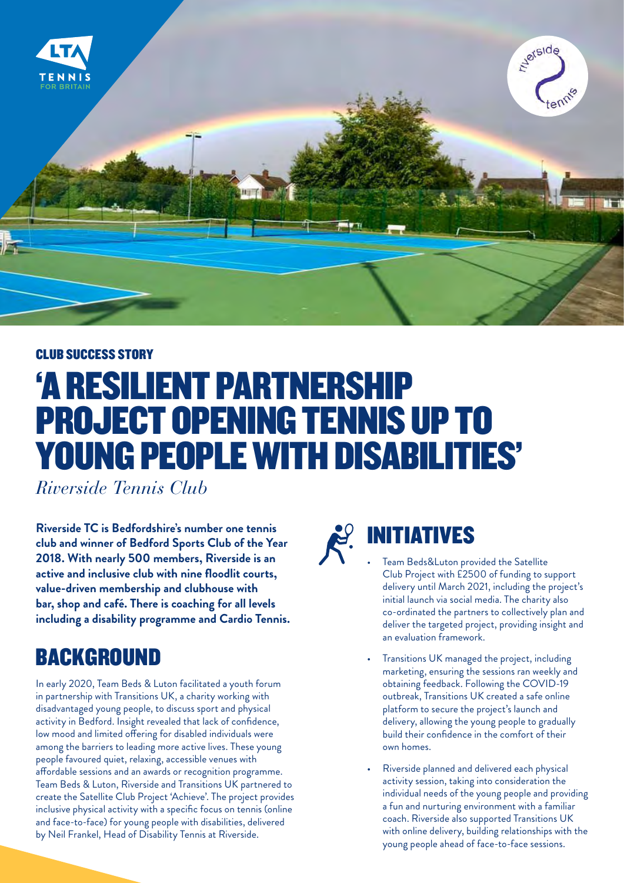

#### CLUB SUCCESS STORY

# 'A RESILIENT PARTNERSHIP PROJECT OPENING TENNIS UP TO YOUNG PEOPLE WITH DISABILITIES'

*Riverside Tennis Club* 

**Riverside TC is Bedfordshire's number one tennis club and winner of Bedford Sports Club of the Year 2018. With nearly 500 members, Riverside is an active and inclusive club with nine floodlit courts, value-driven membership and clubhouse with bar, shop and café. There is coaching for all levels including a disability programme and Cardio Tennis.**

### BACKGROUND

In early 2020, Team Beds & Luton facilitated a youth forum in partnership with Transitions UK, a charity working with disadvantaged young people, to discuss sport and physical activity in Bedford. Insight revealed that lack of confidence, low mood and limited offering for disabled individuals were among the barriers to leading more active lives. These young people favoured quiet, relaxing, accessible venues with affordable sessions and an awards or recognition programme. Team Beds & Luton, Riverside and Transitions UK partnered to create the Satellite Club Project 'Achieve'. The project provides inclusive physical activity with a specific focus on tennis (online and face-to-face) for young people with disabilities, delivered by Neil Frankel, Head of Disability Tennis at Riverside.



## INITIATIVES

- Team Beds&Luton provided the Satellite Club Project with £2500 of funding to support delivery until March 2021, including the project's initial launch via social media. The charity also co-ordinated the partners to collectively plan and deliver the targeted project, providing insight and an evaluation framework.
- Transitions UK managed the project, including marketing, ensuring the sessions ran weekly and obtaining feedback. Following the COVID-19 outbreak, Transitions UK created a safe online platform to secure the project's launch and delivery, allowing the young people to gradually build their confidence in the comfort of their own homes.
- Riverside planned and delivered each physical activity session, taking into consideration the individual needs of the young people and providing a fun and nurturing environment with a familiar coach. Riverside also supported Transitions UK with online delivery, building relationships with the young people ahead of face-to-face sessions.